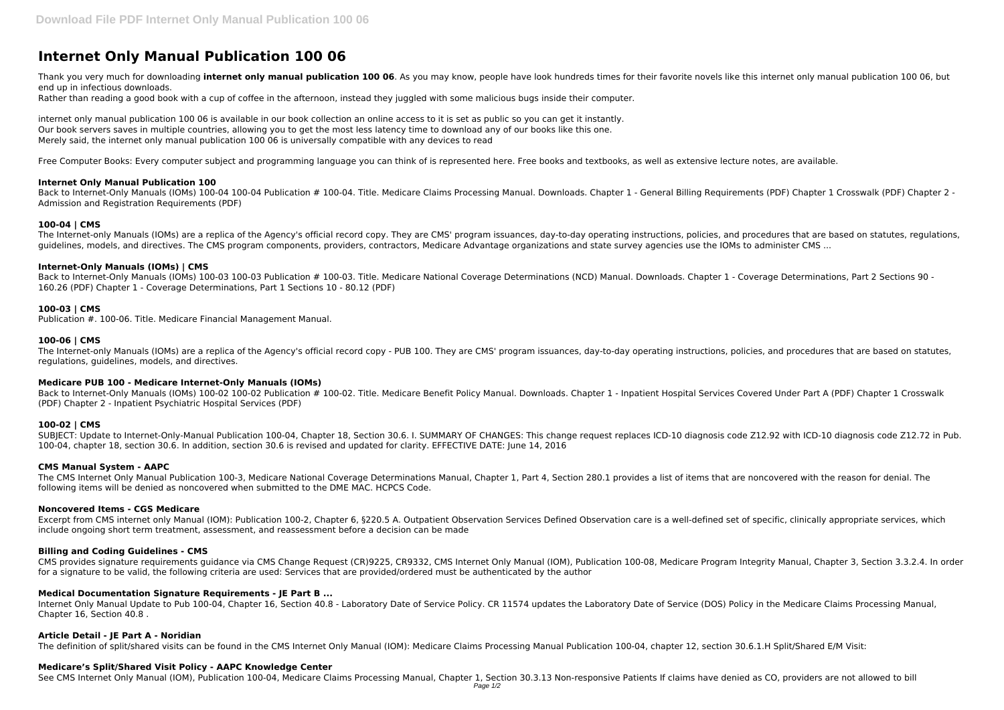# **Internet Only Manual Publication 100 06**

Thank you very much for downloading **internet only manual publication 100 06**. As you may know, people have look hundreds times for their favorite novels like this internet only manual publication 100 06, but end up in infectious downloads.

Rather than reading a good book with a cup of coffee in the afternoon, instead they juggled with some malicious bugs inside their computer.

internet only manual publication 100 06 is available in our book collection an online access to it is set as public so you can get it instantly. Our book servers saves in multiple countries, allowing you to get the most less latency time to download any of our books like this one. Merely said, the internet only manual publication 100 06 is universally compatible with any devices to read

Back to Internet-Only Manuals (IOMs) 100-04 100-04 Publication # 100-04. Title. Medicare Claims Processing Manual. Downloads. Chapter 1 - General Billing Requirements (PDF) Chapter 1 Crosswalk (PDF) Chapter 2 -Admission and Registration Requirements (PDF)

Free Computer Books: Every computer subject and programming language you can think of is represented here. Free books and textbooks, as well as extensive lecture notes, are available.

Back to Internet-Only Manuals (IOMs) 100-03 100-03 Publication # 100-03. Title. Medicare National Coverage Determinations (NCD) Manual. Downloads. Chapter 1 - Coverage Determinations. Part 2 Sections 90 -160.26 (PDF) Chapter 1 - Coverage Determinations, Part 1 Sections 10 - 80.12 (PDF)

# **Internet Only Manual Publication 100**

# **100-04 | CMS**

The Internet-only Manuals (IOMs) are a replica of the Agency's official record copy. They are CMS' program issuances, day-to-day operating instructions, policies, and procedures that are based on statutes, regulations, guidelines, models, and directives. The CMS program components, providers, contractors, Medicare Advantage organizations and state survey agencies use the IOMs to administer CMS ...

Back to Internet-Only Manuals (IOMs) 100-02 100-02 Publication # 100-02. Title. Medicare Benefit Policy Manual. Downloads. Chapter 1 - Inpatient Hospital Services Covered Under Part A (PDF) Chapter 1 Crosswalk (PDF) Chapter 2 - Inpatient Psychiatric Hospital Services (PDF)

## **Internet-Only Manuals (IOMs) | CMS**

Excerpt from CMS internet only Manual (IOM): Publication 100-2, Chapter 6, §220.5 A. Outpatient Observation Services Defined Observation care is a well-defined set of specific, clinically appropriate services, which include ongoing short term treatment, assessment, and reassessment before a decision can be made

## **100-03 | CMS**

Publication #. 100-06. Title. Medicare Financial Management Manual.

## **100-06 | CMS**

The Internet-only Manuals (IOMs) are a replica of the Agency's official record copy - PUB 100. They are CMS' program issuances, day-to-day operating instructions, policies, and procedures that are based on statutes, regulations, guidelines, models, and directives.

# **Medicare PUB 100 - Medicare Internet-Only Manuals (IOMs)**

#### **100-02 | CMS**

SUBJECT: Update to Internet-Only-Manual Publication 100-04, Chapter 18, Section 30.6. I. SUMMARY OF CHANGES: This change request replaces ICD-10 diagnosis code Z12.92 with ICD-10 diagnosis code Z12.72 in Pub. 100-04, chapter 18, section 30.6. In addition, section 30.6 is revised and updated for clarity. EFFECTIVE DATE: June 14, 2016

#### **CMS Manual System - AAPC**

The CMS Internet Only Manual Publication 100-3, Medicare National Coverage Determinations Manual, Chapter 1, Part 4, Section 280.1 provides a list of items that are noncovered with the reason for denial. The following items will be denied as noncovered when submitted to the DME MAC. HCPCS Code.

#### **Noncovered Items - CGS Medicare**

#### **Billing and Coding Guidelines - CMS**

CMS provides signature requirements guidance via CMS Change Request (CR)9225, CR9332, CMS Internet Only Manual (IOM), Publication 100-08, Medicare Program Integrity Manual, Chapter 3, Section 3.3.2.4. In order for a signature to be valid, the following criteria are used: Services that are provided/ordered must be authenticated by the author

#### **Medical Documentation Signature Requirements - JE Part B ...**

Internet Only Manual Update to Pub 100-04, Chapter 16, Section 40.8 - Laboratory Date of Service Policy. CR 11574 updates the Laboratory Date of Service (DOS) Policy in the Medicare Claims Processing Manual, Chapter 16, Section 40.8 .

#### **Article Detail - JE Part A - Noridian**

The definition of split/shared visits can be found in the CMS Internet Only Manual (IOM): Medicare Claims Processing Manual Publication 100-04, chapter 12, section 30.6.1.H Split/Shared E/M Visit:

#### **Medicare's Split/Shared Visit Policy - AAPC Knowledge Center**

See CMS Internet Only Manual (IOM), Publication 100-04, Medicare Claims Processing Manual, Chapter 1, Section 30.3.13 Non-responsive Patients If claims have denied as CO, providers are not allowed to bill